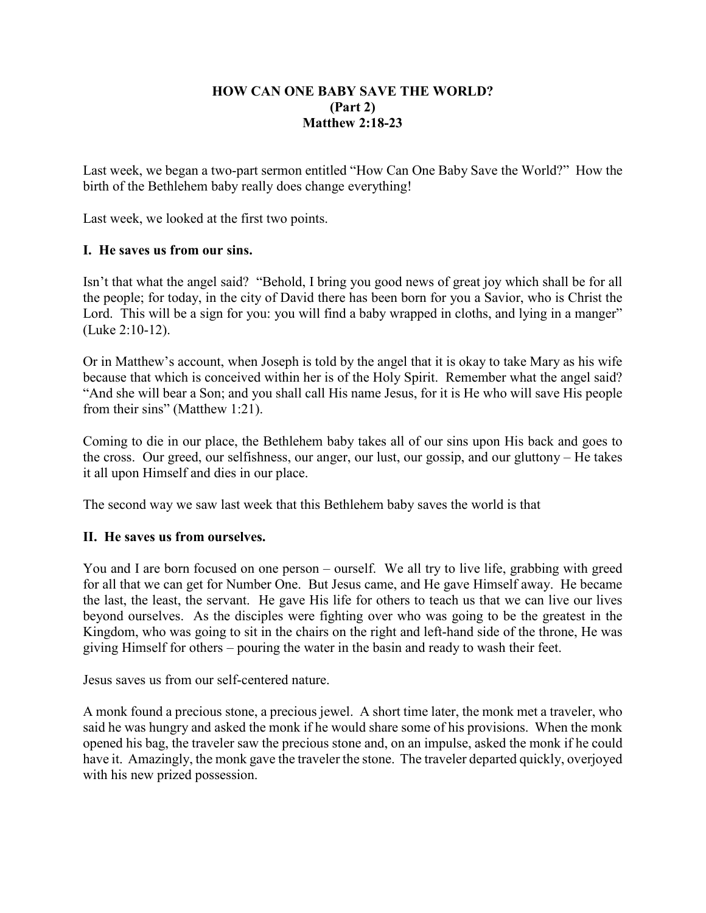### **HOW CAN ONE BABY SAVE THE WORLD? (Part 2) Matthew 2:18-23**

Last week, we began a two-part sermon entitled "How Can One Baby Save the World?" How the birth of the Bethlehem baby really does change everything!

Last week, we looked at the first two points.

### **I. He saves us from our sins.**

Isn't that what the angel said? "Behold, I bring you good news of great joy which shall be for all the people; for today, in the city of David there has been born for you a Savior, who is Christ the Lord. This will be a sign for you: you will find a baby wrapped in cloths, and lying in a manger" (Luke 2:10-12).

Or in Matthew's account, when Joseph is told by the angel that it is okay to take Mary as his wife because that which is conceived within her is of the Holy Spirit. Remember what the angel said? "And she will bear a Son; and you shall call His name Jesus, for it is He who will save His people from their sins" (Matthew 1:21).

Coming to die in our place, the Bethlehem baby takes all of our sins upon His back and goes to the cross. Our greed, our selfishness, our anger, our lust, our gossip, and our gluttony – He takes it all upon Himself and dies in our place.

The second way we saw last week that this Bethlehem baby saves the world is that

# **II. He saves us from ourselves.**

You and I are born focused on one person – ourself. We all try to live life, grabbing with greed for all that we can get for Number One. But Jesus came, and He gave Himself away. He became the last, the least, the servant. He gave His life for others to teach us that we can live our lives beyond ourselves. As the disciples were fighting over who was going to be the greatest in the Kingdom, who was going to sit in the chairs on the right and left-hand side of the throne, He was giving Himself for others – pouring the water in the basin and ready to wash their feet.

Jesus saves us from our self-centered nature.

A monk found a precious stone, a precious jewel. A short time later, the monk met a traveler, who said he was hungry and asked the monk if he would share some of his provisions. When the monk opened his bag, the traveler saw the precious stone and, on an impulse, asked the monk if he could have it. Amazingly, the monk gave the traveler the stone. The traveler departed quickly, overjoyed with his new prized possession.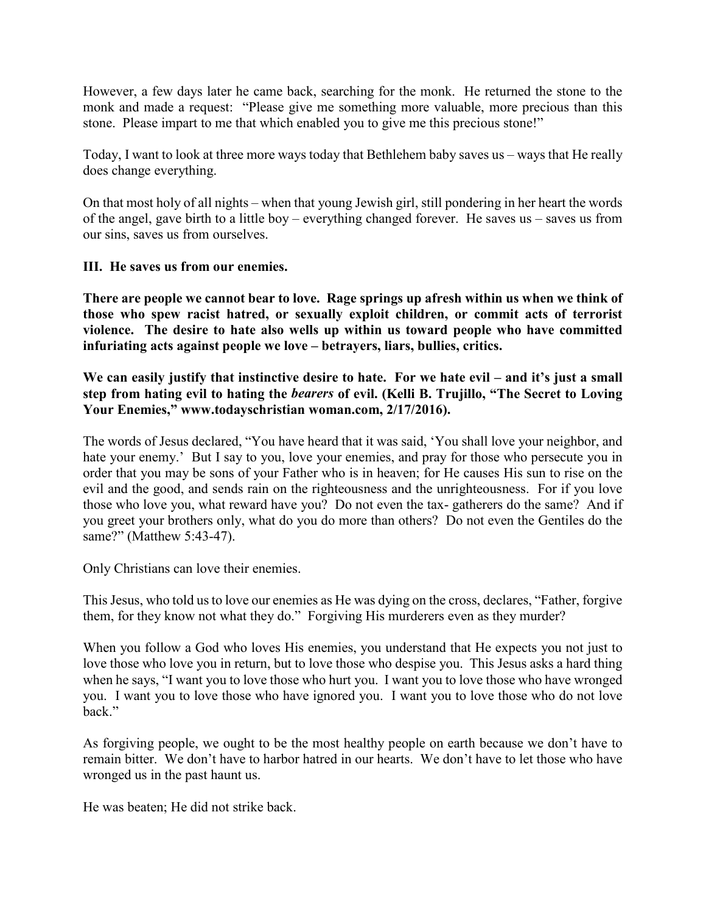However, a few days later he came back, searching for the monk. He returned the stone to the monk and made a request: "Please give me something more valuable, more precious than this stone. Please impart to me that which enabled you to give me this precious stone!"

Today, I want to look at three more ways today that Bethlehem baby saves us – ways that He really does change everything.

On that most holy of all nights – when that young Jewish girl, still pondering in her heart the words of the angel, gave birth to a little boy – everything changed forever. He saves us – saves us from our sins, saves us from ourselves.

# **III. He saves us from our enemies.**

**There are people we cannot bear to love. Rage springs up afresh within us when we think of those who spew racist hatred, or sexually exploit children, or commit acts of terrorist violence. The desire to hate also wells up within us toward people who have committed infuriating acts against people we love – betrayers, liars, bullies, critics.**

**We can easily justify that instinctive desire to hate. For we hate evil – and it's just a small step from hating evil to hating the** *bearers* **of evil. (Kelli B. Trujillo, "The Secret to Loving Your Enemies," www.todayschristian woman.com, 2/17/2016).**

The words of Jesus declared, "You have heard that it was said, 'You shall love your neighbor, and hate your enemy.' But I say to you, love your enemies, and pray for those who persecute you in order that you may be sons of your Father who is in heaven; for He causes His sun to rise on the evil and the good, and sends rain on the righteousness and the unrighteousness. For if you love those who love you, what reward have you? Do not even the tax- gatherers do the same? And if you greet your brothers only, what do you do more than others? Do not even the Gentiles do the same?" (Matthew 5:43-47).

Only Christians can love their enemies.

This Jesus, who told us to love our enemies as He was dying on the cross, declares, "Father, forgive them, for they know not what they do." Forgiving His murderers even as they murder?

When you follow a God who loves His enemies, you understand that He expects you not just to love those who love you in return, but to love those who despise you. This Jesus asks a hard thing when he says, "I want you to love those who hurt you. I want you to love those who have wronged you. I want you to love those who have ignored you. I want you to love those who do not love back."

As forgiving people, we ought to be the most healthy people on earth because we don't have to remain bitter. We don't have to harbor hatred in our hearts. We don't have to let those who have wronged us in the past haunt us.

He was beaten; He did not strike back.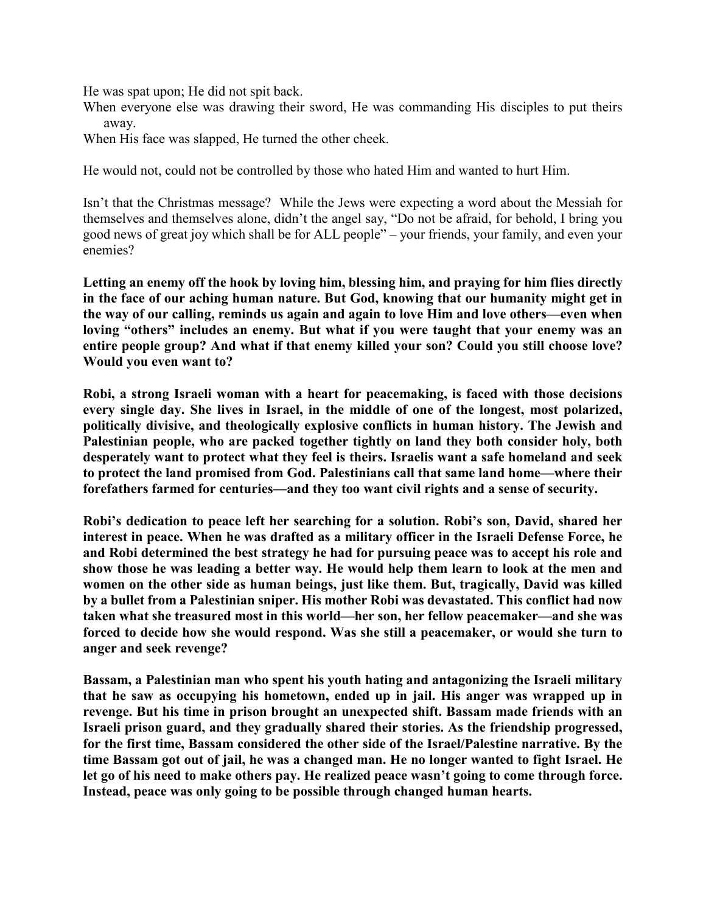He was spat upon; He did not spit back.

When everyone else was drawing their sword, He was commanding His disciples to put theirs away.

When His face was slapped, He turned the other cheek.

He would not, could not be controlled by those who hated Him and wanted to hurt Him.

Isn't that the Christmas message? While the Jews were expecting a word about the Messiah for themselves and themselves alone, didn't the angel say, "Do not be afraid, for behold, I bring you good news of great joy which shall be for ALL people" – your friends, your family, and even your enemies?

**Letting an enemy off the hook by loving him, blessing him, and praying for him flies directly in the face of our aching human nature. But God, knowing that our humanity might get in the way of our calling, reminds us again and again to love Him and love others—even when loving "others" includes an enemy. But what if you were taught that your enemy was an entire people group? And what if that enemy killed your son? Could you still choose love? Would you even want to?**

**Robi, a strong Israeli woman with a heart for peacemaking, is faced with those decisions every single day. She lives in Israel, in the middle of one of the longest, most polarized, politically divisive, and theologically explosive conflicts in human history. The Jewish and Palestinian people, who are packed together tightly on land they both consider holy, both desperately want to protect what they feel is theirs. Israelis want a safe homeland and seek to protect the land promised from God. Palestinians call that same land home—where their forefathers farmed for centuries—and they too want civil rights and a sense of security.**

**Robi's dedication to peace left her searching for a solution. Robi's son, David, shared her interest in peace. When he was drafted as a military officer in the Israeli Defense Force, he and Robi determined the best strategy he had for pursuing peace was to accept his role and show those he was leading a better way. He would help them learn to look at the men and women on the other side as human beings, just like them. But, tragically, David was killed by a bullet from a Palestinian sniper. His mother Robi was devastated. This conflict had now taken what she treasured most in this world—her son, her fellow peacemaker—and she was forced to decide how she would respond. Was she still a peacemaker, or would she turn to anger and seek revenge?**

**Bassam, a Palestinian man who spent his youth hating and antagonizing the Israeli military that he saw as occupying his hometown, ended up in jail. His anger was wrapped up in revenge. But his time in prison brought an unexpected shift. Bassam made friends with an Israeli prison guard, and they gradually shared their stories. As the friendship progressed, for the first time, Bassam considered the other side of the Israel/Palestine narrative. By the time Bassam got out of jail, he was a changed man. He no longer wanted to fight Israel. He let go of his need to make others pay. He realized peace wasn't going to come through force. Instead, peace was only going to be possible through changed human hearts.**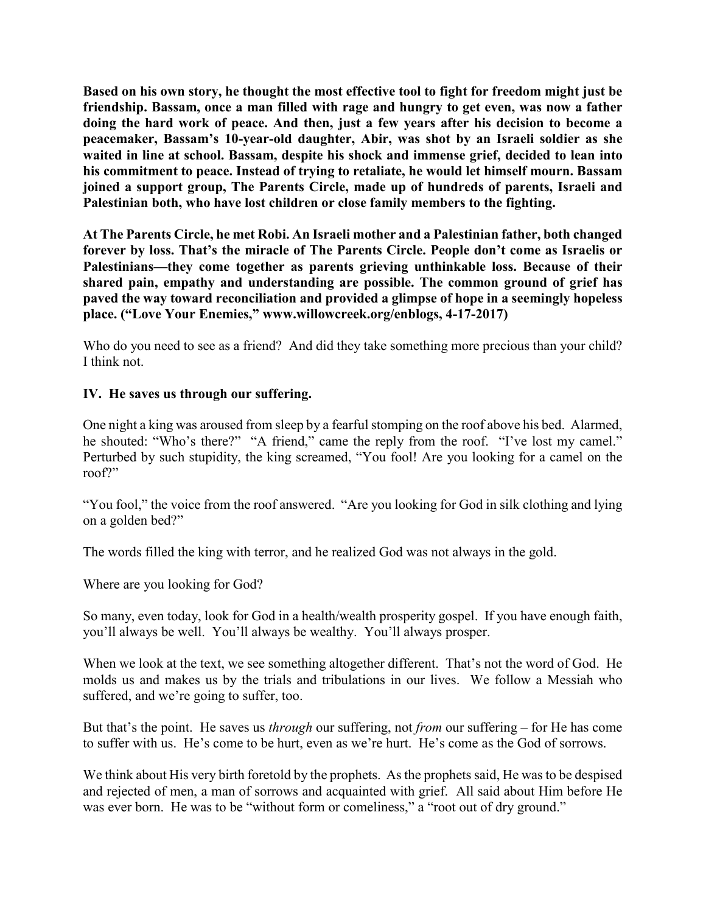**Based on his own story, he thought the most effective tool to fight for freedom might just be friendship. Bassam, once a man filled with rage and hungry to get even, was now a father doing the hard work of peace. And then, just a few years after his decision to become a peacemaker, Bassam's 10-year-old daughter, Abir, was shot by an Israeli soldier as she waited in line at school. Bassam, despite his shock and immense grief, decided to lean into his commitment to peace. Instead of trying to retaliate, he would let himself mourn. Bassam joined a support group, The Parents Circle, made up of hundreds of parents, Israeli and Palestinian both, who have lost children or close family members to the fighting.**

**At The Parents Circle, he met Robi. An Israeli mother and a Palestinian father, both changed forever by loss. That's the miracle of The Parents Circle. People don't come as Israelis or Palestinians—they come together as parents grieving unthinkable loss. Because of their shared pain, empathy and understanding are possible. The common ground of grief has paved the way toward reconciliation and provided a glimpse of hope in a seemingly hopeless place. ("Love Your Enemies," www.willowcreek.org/enblogs, 4-17-2017)**

Who do you need to see as a friend? And did they take something more precious than your child? I think not.

# **IV. He saves us through our suffering.**

One night a king was aroused from sleep by a fearful stomping on the roof above his bed. Alarmed, he shouted: "Who's there?" "A friend," came the reply from the roof. "I've lost my camel." Perturbed by such stupidity, the king screamed, "You fool! Are you looking for a camel on the roof?"

"You fool," the voice from the roof answered. "Are you looking for God in silk clothing and lying on a golden bed?"

The words filled the king with terror, and he realized God was not always in the gold.

Where are you looking for God?

So many, even today, look for God in a health/wealth prosperity gospel. If you have enough faith, you'll always be well. You'll always be wealthy. You'll always prosper.

When we look at the text, we see something altogether different. That's not the word of God. He molds us and makes us by the trials and tribulations in our lives. We follow a Messiah who suffered, and we're going to suffer, too.

But that's the point. He saves us *through* our suffering, not *from* our suffering – for He has come to suffer with us. He's come to be hurt, even as we're hurt. He's come as the God of sorrows.

We think about His very birth foretold by the prophets. As the prophets said, He was to be despised and rejected of men, a man of sorrows and acquainted with grief. All said about Him before He was ever born. He was to be "without form or comeliness," a "root out of dry ground."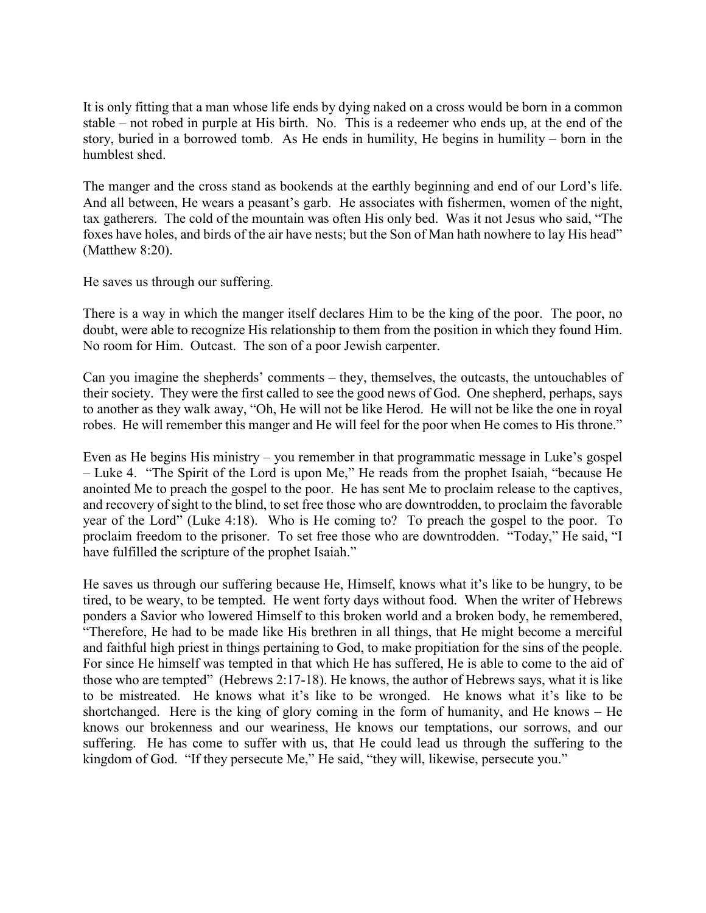It is only fitting that a man whose life ends by dying naked on a cross would be born in a common stable – not robed in purple at His birth. No. This is a redeemer who ends up, at the end of the story, buried in a borrowed tomb. As He ends in humility, He begins in humility – born in the humblest shed.

The manger and the cross stand as bookends at the earthly beginning and end of our Lord's life. And all between, He wears a peasant's garb. He associates with fishermen, women of the night, tax gatherers. The cold of the mountain was often His only bed. Was it not Jesus who said, "The foxes have holes, and birds of the air have nests; but the Son of Man hath nowhere to lay His head" (Matthew 8:20).

He saves us through our suffering.

There is a way in which the manger itself declares Him to be the king of the poor. The poor, no doubt, were able to recognize His relationship to them from the position in which they found Him. No room for Him. Outcast. The son of a poor Jewish carpenter.

Can you imagine the shepherds' comments – they, themselves, the outcasts, the untouchables of their society. They were the first called to see the good news of God. One shepherd, perhaps, says to another as they walk away, "Oh, He will not be like Herod. He will not be like the one in royal robes. He will remember this manger and He will feel for the poor when He comes to His throne."

Even as He begins His ministry – you remember in that programmatic message in Luke's gospel – Luke 4. "The Spirit of the Lord is upon Me," He reads from the prophet Isaiah, "because He anointed Me to preach the gospel to the poor. He has sent Me to proclaim release to the captives, and recovery of sight to the blind, to set free those who are downtrodden, to proclaim the favorable year of the Lord" (Luke 4:18). Who is He coming to? To preach the gospel to the poor. To proclaim freedom to the prisoner. To set free those who are downtrodden. "Today," He said, "I have fulfilled the scripture of the prophet Isaiah."

He saves us through our suffering because He, Himself, knows what it's like to be hungry, to be tired, to be weary, to be tempted. He went forty days without food. When the writer of Hebrews ponders a Savior who lowered Himself to this broken world and a broken body, he remembered, "Therefore, He had to be made like His brethren in all things, that He might become a merciful and faithful high priest in things pertaining to God, to make propitiation for the sins of the people. For since He himself was tempted in that which He has suffered, He is able to come to the aid of those who are tempted" (Hebrews 2:17-18). He knows, the author of Hebrews says, what it is like to be mistreated. He knows what it's like to be wronged. He knows what it's like to be shortchanged. Here is the king of glory coming in the form of humanity, and He knows – He knows our brokenness and our weariness, He knows our temptations, our sorrows, and our suffering. He has come to suffer with us, that He could lead us through the suffering to the kingdom of God. "If they persecute Me," He said, "they will, likewise, persecute you."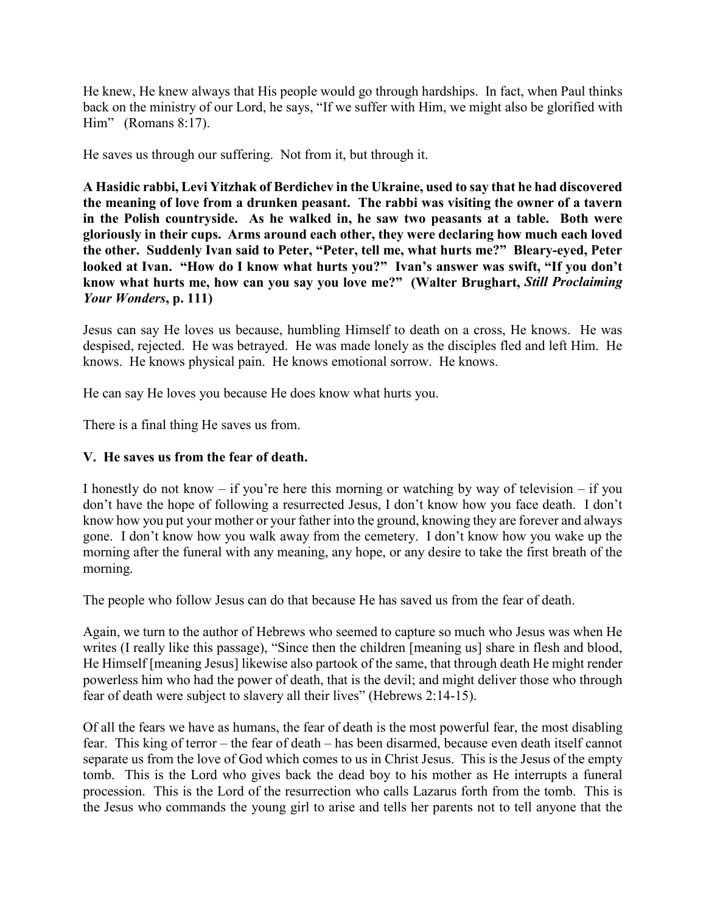He knew, He knew always that His people would go through hardships. In fact, when Paul thinks back on the ministry of our Lord, he says, "If we suffer with Him, we might also be glorified with Him" (Romans 8:17).

He saves us through our suffering. Not from it, but through it.

**A Hasidic rabbi, Levi Yitzhak of Berdichev in the Ukraine, used to say that he had discovered the meaning of love from a drunken peasant. The rabbi was visiting the owner of a tavern in the Polish countryside. As he walked in, he saw two peasants at a table. Both were gloriously in their cups. Arms around each other, they were declaring how much each loved the other. Suddenly Ivan said to Peter, "Peter, tell me, what hurts me?" Bleary-eyed, Peter looked at Ivan. "How do I know what hurts you?" Ivan's answer was swift, "If you don't know what hurts me, how can you say you love me?" (Walter Brughart,** *Still Proclaiming Your Wonders***, p. 111)**

Jesus can say He loves us because, humbling Himself to death on a cross, He knows. He was despised, rejected. He was betrayed. He was made lonely as the disciples fled and left Him. He knows. He knows physical pain. He knows emotional sorrow. He knows.

He can say He loves you because He does know what hurts you.

There is a final thing He saves us from.

### **V. He saves us from the fear of death.**

I honestly do not know – if you're here this morning or watching by way of television – if you don't have the hope of following a resurrected Jesus, I don't know how you face death. I don't know how you put your mother or your father into the ground, knowing they are forever and always gone. I don't know how you walk away from the cemetery. I don't know how you wake up the morning after the funeral with any meaning, any hope, or any desire to take the first breath of the morning.

The people who follow Jesus can do that because He has saved us from the fear of death.

Again, we turn to the author of Hebrews who seemed to capture so much who Jesus was when He writes (I really like this passage), "Since then the children [meaning us] share in flesh and blood, He Himself [meaning Jesus] likewise also partook of the same, that through death He might render powerless him who had the power of death, that is the devil; and might deliver those who through fear of death were subject to slavery all their lives" (Hebrews 2:14-15).

Of all the fears we have as humans, the fear of death is the most powerful fear, the most disabling fear. This king of terror – the fear of death – has been disarmed, because even death itself cannot separate us from the love of God which comes to us in Christ Jesus. This is the Jesus of the empty tomb. This is the Lord who gives back the dead boy to his mother as He interrupts a funeral procession. This is the Lord of the resurrection who calls Lazarus forth from the tomb. This is the Jesus who commands the young girl to arise and tells her parents not to tell anyone that the